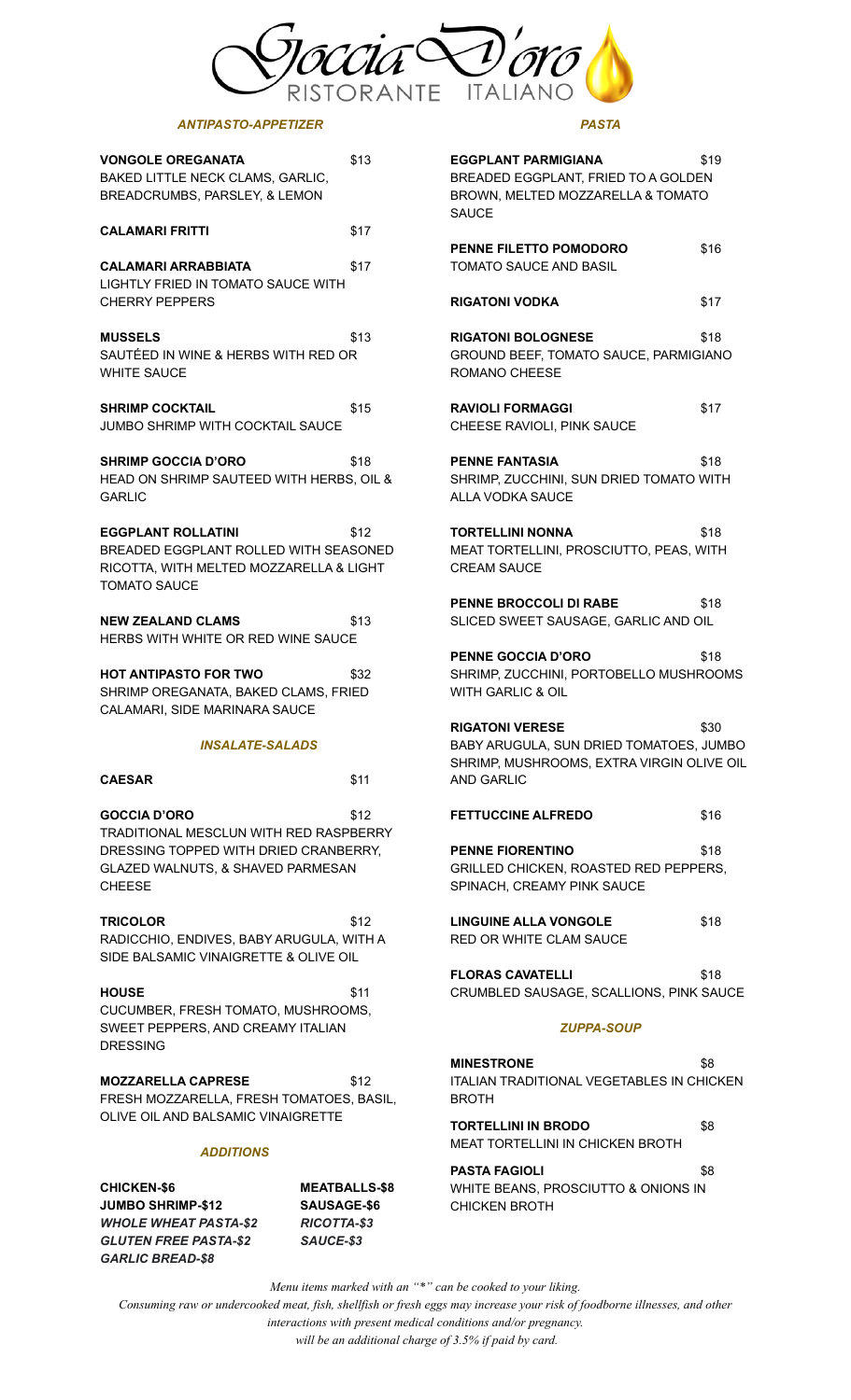

# *ANTIPASTO-APPETIZER*

| <b>VONGOLE OREGANATA</b><br>BAKED LITTLE NECK CLAMS, GARLIC,<br>BREADCRUMBS, PARSLEY, & LEMON                                                         | \$13 |
|-------------------------------------------------------------------------------------------------------------------------------------------------------|------|
| CALAMARI FRITTI                                                                                                                                       | \$17 |
| CALAMARI ARRABBIATA<br>LIGHTLY FRIED IN TOMATO SAUCE WITH<br><b>CHERRY PEPPERS</b>                                                                    | \$17 |
| <b>MUSSELS</b><br>SAUTÉED IN WINE & HERBS WITH RED OR<br><b>WHITE SAUCE</b>                                                                           | \$13 |
| <b>SHRIMP COCKTAIL</b><br>JUMBO SHRIMP WITH COCKTAIL SAUCE                                                                                            | \$15 |
| <b>SHRIMP GOCCIA D'ORO</b><br>HEAD ON SHRIMP SAUTEED WITH HERBS, OIL &<br>GARLIC                                                                      | \$18 |
| <b>EGGPLANT ROLLATINI</b><br>BREADED EGGPLANT ROLLED WITH SEASONED<br>RICOTTA, WITH MELTED MOZZARELLA & LIGHT<br>TOMATO SAUCE                         | \$12 |
| <b>NEW ZEALAND CLAMS</b><br>HERBS WITH WHITE OR RED WINE SAUCE                                                                                        | \$13 |
| HOT ANTIPASTO FOR TWO<br>SHRIMP OREGANATA, BAKED CLAMS, FRIED<br>CALAMARI, SIDE MARINARA SAUCE                                                        | \$32 |
| <i><b>INSALATE-SALADS</b></i>                                                                                                                         |      |
| <b>CAESAR</b>                                                                                                                                         | \$11 |
| <b>GOCCIA D'ORO</b><br>TRADITIONAL MESCLUN WITH RED RASPBERRY<br>DRESSING TOPPED WITH DRIED CRANBERRY.<br>GLAZED WALNUTS, & SHAVED PARMESAN<br>CHEESE | \$12 |
| TRICOLOR<br>RADICCHIO, ENDIVES, BABY ARUGULA, WITH A<br>SIDE BALSAMIC VINAIGRETTE & OLIVE OIL                                                         | \$12 |
| <b>HOUSE</b><br>CUCUMBER, FRESH TOMATO, MUSHROOMS,<br>SWEET PEPPERS, AND CREAMY ITALIAN<br><b>DRESSING</b>                                            | \$11 |
| MOZZARELLA CAPRESE<br>FRESH MOZZARELLA, FRESH TOMATOES, BASIL,<br>OLIVE OIL AND BALSAMIC VINAIGRETTE                                                  | \$12 |
|                                                                                                                                                       |      |

### *ADDITIONS*

| <b>CHICKEN-\$6</b>           | <b>MEATBALLS-\$8</b> |
|------------------------------|----------------------|
| <b>JUMBO SHRIMP-\$12</b>     | <b>SAUSAGE-\$6</b>   |
| <b>WHOLE WHEAT PASTA-\$2</b> | <b>RICOTTA-\$3</b>   |
| <b>GLUTEN FREE PASTA-\$2</b> | SAUCE-\$3            |
| <b>GARLIC BREAD-\$8</b>      |                      |

## *PASTA*

| <b>EGGPLANT PARMIGIANA</b><br>BREADED EGGPLANT, FRIED TO A GOLDEN<br>BROWN, MELTED MOZZARELLA & TOMATO<br>SAUCE                     | \$19 |  |
|-------------------------------------------------------------------------------------------------------------------------------------|------|--|
| PENNE FILETTO POMODORO<br><b>TOMATO SAUCE AND BASIL</b>                                                                             | \$16 |  |
| <b>RIGATONI VODKA</b>                                                                                                               | \$17 |  |
| <b>RIGATONI BOLOGNESE</b><br>GROUND BEEF, TOMATO SAUCE, PARMIGIANO<br><b>ROMANO CHEESE</b>                                          | \$18 |  |
| <b>RAVIOLI FORMAGGI</b><br>CHEESE RAVIOLI, PINK SAUCE                                                                               | \$17 |  |
| <b>PENNE FANTASIA</b><br>SHRIMP, ZUCCHINI, SUN DRIED TOMATO WITH<br><b>ALLA VODKA SAUCE</b>                                         | \$18 |  |
| TORTELLINI NONNA<br>MEAT TORTELLINI, PROSCIUTTO, PEAS, WITH<br><b>CREAM SAUCE</b>                                                   | \$18 |  |
| <b>PENNE BROCCOLI DI RABE</b><br>SLICED SWEET SAUSAGE, GARLIC AND OIL                                                               | \$18 |  |
| <b>PENNE GOCCIA D'ORO</b><br>SHRIMP, ZUCCHINI, PORTOBELLO MUSHROOMS<br><b>WITH GARLIC &amp; OIL</b>                                 | \$18 |  |
| <b>RIGATONI VERESE</b><br>BABY ARUGULA, SUN DRIED TOMATOES, JUMBO<br>SHRIMP, MUSHROOMS, EXTRA VIRGIN OLIVE OIL<br><b>AND GARLIC</b> | \$30 |  |
| <b>FETTUCCINE ALFREDO</b>                                                                                                           | \$16 |  |
| <b>PENNE FIORENTINO</b><br>GRILLED CHICKEN, ROASTED RED PEPPERS,<br>SPINACH, CREAMY PINK SAUCE                                      | \$18 |  |
| <b>LINGUINE ALLA VONGOLE</b><br><b>RED OR WHITE CLAM SAUCE</b>                                                                      | \$18 |  |
| <b>FLORAS CAVATELLI</b><br>CRUMBLED SAUSAGE, SCALLIONS, PINK SAUCE                                                                  | \$18 |  |
| <b>ZUPPA-SOUP</b>                                                                                                                   |      |  |
| <b>MINESTRONE</b><br>ITALIAN TRADITIONAL VEGETABLES IN CHICKEN<br><b>BROTH</b>                                                      | \$8  |  |
| <b>TORTELLINI IN BRODO</b><br><b>MEAT TORTELLINI IN CHICKEN BROTH</b>                                                               | \$8  |  |
| <b>PASTA FAGIOLI</b>                                                                                                                | \$8  |  |

WHITE BEANS, PROSCIUTTO & ONIONS IN CHICKEN BROTH

*Menu items marked with an "\*" can be cooked to your liking.*

*Consuming raw or undercooked meat, fish, shellfish or fresh eggs may increase your risk of foodborne illnesses, and other*

*interactions with present medical conditions and/or pregnancy. will be an additional charge of 3.5% if paid by card.*